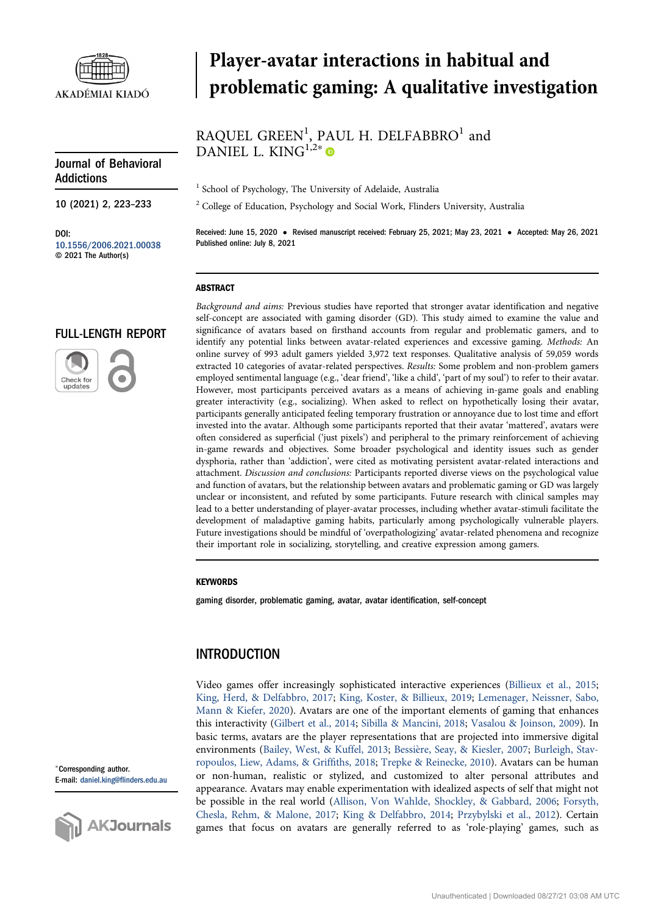

# Player-avatar interactions in habitual and problematic gaming: A qualitative investigation

# RAQUEL GREEN<sup>1</sup>, PAUL H. DELFABBRO<sup>1</sup> and DANIEL L. KIN $G^{1,2*}$

10 (2021) 2, 223–233

Addictions

Journal of Behavioral

DOI: [10.1556/2006.2021.00038](http://dx.doi.org/10.1556/2006.2021.00038) © 2021 The Author(s)

# FULL-LENGTH REPORT



<sup>1</sup> School of Psychology, The University of Adelaide, Australia

<sup>2</sup> College of Education, Psychology and Social Work, Flinders University, Australia

Received: June 15, 2020 • Revised manuscript received: February 25, 2021; May 23, 2021 • Accepted: May 26, 2021 Published online: July 8, 2021

#### ABSTRACT

Background and aims: Previous studies have reported that stronger avatar identification and negative self-concept are associated with gaming disorder (GD). This study aimed to examine the value and significance of avatars based on firsthand accounts from regular and problematic gamers, and to identify any potential links between avatar-related experiences and excessive gaming. Methods: An online survey of 993 adult gamers yielded 3,972 text responses. Qualitative analysis of 59,059 words extracted 10 categories of avatar-related perspectives. Results: Some problem and non-problem gamers employed sentimental language (e.g., 'dear friend', 'like a child', 'part of my soul') to refer to their avatar. However, most participants perceived avatars as a means of achieving in-game goals and enabling greater interactivity (e.g., socializing). When asked to reflect on hypothetically losing their avatar, participants generally anticipated feeling temporary frustration or annoyance due to lost time and effort invested into the avatar. Although some participants reported that their avatar 'mattered', avatars were often considered as superficial ('just pixels') and peripheral to the primary reinforcement of achieving in-game rewards and objectives. Some broader psychological and identity issues such as gender dysphoria, rather than 'addiction', were cited as motivating persistent avatar-related interactions and attachment. Discussion and conclusions: Participants reported diverse views on the psychological value and function of avatars, but the relationship between avatars and problematic gaming or GD was largely unclear or inconsistent, and refuted by some participants. Future research with clinical samples may lead to a better understanding of player-avatar processes, including whether avatar-stimuli facilitate the development of maladaptive gaming habits, particularly among psychologically vulnerable players. Future investigations should be mindful of 'overpathologizing' avatar-related phenomena and recognize their important role in socializing, storytelling, and creative expression among gamers.

#### **KEYWORDS**

gaming disorder, problematic gaming, avatar, avatar identification, self-concept

# INTRODUCTION

Video games offer increasingly sophisticated interactive experiences [\(Billieux et al., 2015;](#page-8-0) [King, Herd, & Delfabbro, 2017;](#page-9-0) [King, Koster, & Billieux, 2019](#page-9-1); [Lemenager, Neissner, Sabo,](#page-10-0) [Mann & Kiefer, 2020\)](#page-10-0). Avatars are one of the important elements of gaming that enhances this interactivity [\(Gilbert et al., 2014](#page-9-2); [Sibilla & Mancini, 2018](#page-10-1); [Vasalou & Joinson, 2009](#page-10-2)). In basic terms, avatars are the player representations that are projected into immersive digital environments [\(Bailey, West, & Kuffel, 2013](#page-8-1); [Bessi](#page-8-2)e[re, Seay, & Kiesler, 2007;](#page-8-2) [Burleigh, Stav](#page-8-3)[ropoulos, Liew, Adams, & Grif](#page-8-3)fiths, 2018; [Trepke & Reinecke, 2010\)](#page-10-3). Avatars can be human or non-human, realistic or stylized, and customized to alter personal attributes and appearance. Avatars may enable experimentation with idealized aspects of self that might not be possible in the real world ([Allison, Von Wahlde, Shockley, & Gabbard, 2006](#page-8-4); [Forsyth,](#page-9-3) [Chesla, Rehm, & Malone, 2017](#page-9-3); [King & Delfabbro, 2014;](#page-9-4) [Przybylski et al., 2012\)](#page-10-4). Certain games that focus on avatars are generally referred to as 'role-playing' games, such as

<sup>p</sup>Corresponding author. E-mail: daniel.king@fl[inders.edu.au](mailto:daniel.king@flinders.edu.au)

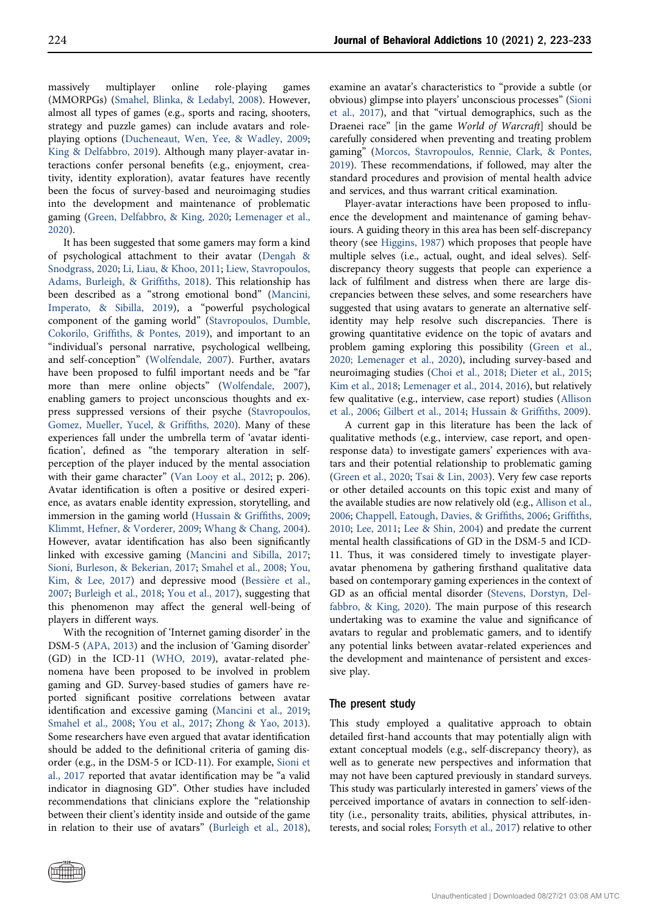massively multiplayer online role-playing games (MMORPGs) ([Smahel, Blinka, & Ledabyl, 2008](#page-10-5)). However, almost all types of games (e.g., sports and racing, shooters, strategy and puzzle games) can include avatars and roleplaying options [\(Ducheneaut, Wen, Yee, & Wadley, 2009](#page-9-5); [King & Delfabbro, 2019](#page-9-6)). Although many player-avatar interactions confer personal benefits (e.g., enjoyment, creativity, identity exploration), avatar features have recently been the focus of survey-based and neuroimaging studies into the development and maintenance of problematic gaming ([Green, Delfabbro, & King, 2020;](#page-9-7) [Lemenager et al.,](#page-10-0) [2020](#page-10-0)).

It has been suggested that some gamers may form a kind of psychological attachment to their avatar [\(Dengah &](#page-9-8) [Snodgrass, 2020](#page-9-8); [Li, Liau, & Khoo, 2011](#page-10-6); [Liew, Stavropoulos,](#page-10-7) [Adams, Burleigh, & Grif](#page-10-7)fiths, 2018). This relationship has been described as a "strong emotional bond" ([Mancini,](#page-10-8) [Imperato, & Sibilla, 2019](#page-10-8)), a "powerful psychological component of the gaming world" ([Stavropoulos, Dumble,](#page-10-9) Cokorilo, Griffi[ths, & Pontes, 2019\)](#page-10-9), and important to an "individual's personal narrative, psychological wellbeing, and self-conception" [\(Wolfendale, 2007\)](#page-10-10). Further, avatars have been proposed to fulfil important needs and be "far more than mere online objects" [\(Wolfendale, 2007\)](#page-10-10), enabling gamers to project unconscious thoughts and express suppressed versions of their psyche [\(Stavropoulos,](#page-10-11) [Gomez, Mueller, Yucel, & Grif](#page-10-11)fiths, 2020). Many of these experiences fall under the umbrella term of 'avatar identification', defined as "the temporary alteration in selfperception of the player induced by the mental association with their game character" [\(Van Looy et al., 2012;](#page-10-12) p. 206). Avatar identification is often a positive or desired experience, as avatars enable identity expression, storytelling, and immersion in the gaming world ([Hussain & Grif](#page-9-9)fiths, 2009; [Klimmt, Hefner, & Vorderer, 2009](#page-9-10); [Whang & Chang, 2004\)](#page-10-13). However, avatar identification has also been significantly linked with excessive gaming ([Mancini and Sibilla, 2017](#page-10-14); [Sioni, Burleson, & Bekerian, 2017](#page-10-15); [Smahel et al., 2008;](#page-10-5) [You,](#page-10-16) [Kim, & Lee, 2017](#page-10-16)) and depressive mood ([Bessi](#page-8-2)è[re et al.,](#page-8-2) [2007](#page-8-2); [Burleigh et al., 2018;](#page-8-3) [You et al., 2017\)](#page-10-16), suggesting that this phenomenon may affect the general well-being of players in different ways.

With the recognition of 'Internet gaming disorder' in the DSM-5 ([APA, 2013](#page-8-5)) and the inclusion of 'Gaming disorder' (GD) in the ICD-11 [\(WHO, 2019\)](#page-10-17), avatar-related phenomena have been proposed to be involved in problem gaming and GD. Survey-based studies of gamers have reported significant positive correlations between avatar identification and excessive gaming ([Mancini et al., 2019](#page-10-8); [Smahel et al., 2008;](#page-10-5) [You et al., 2017;](#page-10-16) [Zhong & Yao, 2013\)](#page-10-18). Some researchers have even argued that avatar identification should be added to the definitional criteria of gaming disorder (e.g., in the DSM-5 or ICD-11). For example, [Sioni et](#page-10-15) [al., 2017](#page-10-15) reported that avatar identification may be "a valid indicator in diagnosing GD". Other studies have included recommendations that clinicians explore the "relationship between their client's identity inside and outside of the game in relation to their use of avatars" ([Burleigh et al., 2018\)](#page-8-3),



examine an avatar's characteristics to "provide a subtle (or obvious) glimpse into players' unconscious processes" [\(Sioni](#page-10-15) [et al., 2017\)](#page-10-15), and that "virtual demographics, such as the Draenei race" [in the game World of Warcraft] should be carefully considered when preventing and treating problem gaming" ([Morcos, Stavropoulos, Rennie, Clark, & Pontes,](#page-10-19) [2019](#page-10-19)). These recommendations, if followed, may alter the standard procedures and provision of mental health advice and services, and thus warrant critical examination.

Player-avatar interactions have been proposed to influence the development and maintenance of gaming behaviours. A guiding theory in this area has been self-discrepancy theory (see [Higgins, 1987\)](#page-9-11) which proposes that people have multiple selves (i.e., actual, ought, and ideal selves). Selfdiscrepancy theory suggests that people can experience a lack of fulfilment and distress when there are large discrepancies between these selves, and some researchers have suggested that using avatars to generate an alternative selfidentity may help resolve such discrepancies. There is growing quantitative evidence on the topic of avatars and problem gaming exploring this possibility ([Green et al.,](#page-9-7) [2020; Lemenager et al., 2020](#page-9-7)), including survey-based and neuroimaging studies ([Choi et al., 2018;](#page-9-12) [Dieter et al., 2015](#page-9-13); [Kim et al., 2018](#page-9-14); [Lemenager et al., 2014, 2016](#page-9-15)), but relatively few qualitative (e.g., interview, case report) studies ([Allison](#page-8-4) [et al., 2006](#page-8-4); [Gilbert et al., 2014](#page-9-2); [Hussain & Grif](#page-9-9)fiths, 2009).

A current gap in this literature has been the lack of qualitative methods (e.g., interview, case report, and openresponse data) to investigate gamers' experiences with avatars and their potential relationship to problematic gaming ([Green et al., 2020](#page-9-7); [Tsai & Lin, 2003\)](#page-10-20). Very few case reports or other detailed accounts on this topic exist and many of the available studies are now relatively old (e.g., [Allison et al.,](#page-8-4) [2006](#page-8-4); [Chappell, Eatough, Davies, & Grif](#page-9-16)fiths, 2006; [Grif](#page-9-17)fiths, [2010](#page-9-17); [Lee, 2011](#page-9-18); [Lee & Shin, 2004](#page-9-19)) and predate the current mental health classifications of GD in the DSM-5 and ICD-11. Thus, it was considered timely to investigate playeravatar phenomena by gathering firsthand qualitative data based on contemporary gaming experiences in the context of GD as an official mental disorder ([Stevens, Dorstyn, Del](#page-10-21)[fabbro, & King, 2020](#page-10-21)). The main purpose of this research undertaking was to examine the value and significance of avatars to regular and problematic gamers, and to identify any potential links between avatar-related experiences and the development and maintenance of persistent and excessive play.

#### The present study

This study employed a qualitative approach to obtain detailed first-hand accounts that may potentially align with extant conceptual models (e.g., self-discrepancy theory), as well as to generate new perspectives and information that may not have been captured previously in standard surveys. This study was particularly interested in gamers' views of the perceived importance of avatars in connection to self-identity (i.e., personality traits, abilities, physical attributes, interests, and social roles; [Forsyth et al., 2017](#page-9-3)) relative to other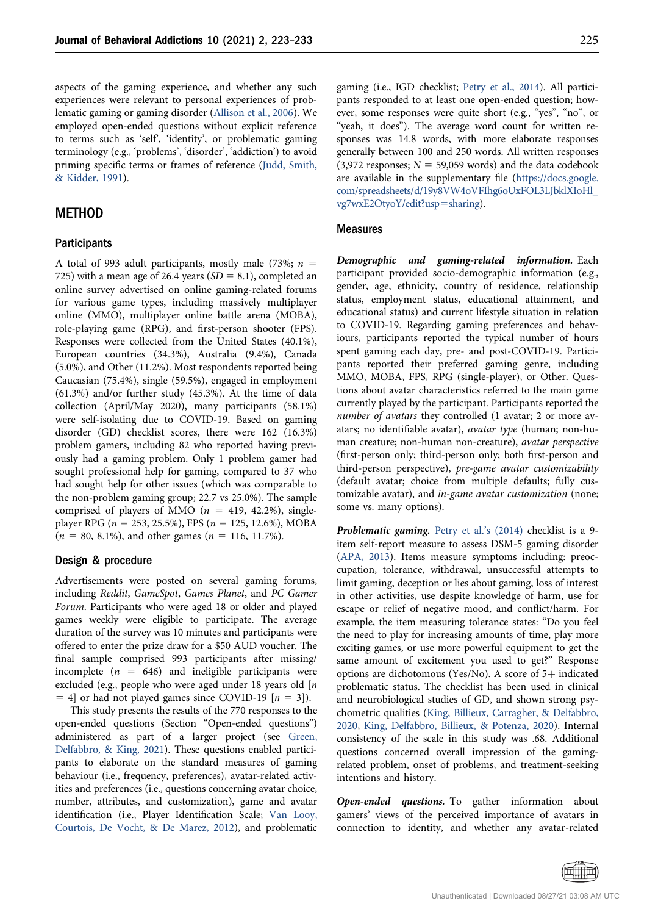aspects of the gaming experience, and whether any such experiences were relevant to personal experiences of problematic gaming or gaming disorder [\(Allison et al., 2006\)](#page-8-4). We employed open-ended questions without explicit reference to terms such as 'self', 'identity', or problematic gaming terminology (e.g., 'problems', 'disorder', 'addiction') to avoid priming specific terms or frames of reference ([Judd, Smith,](#page-9-20) [& Kidder, 1991](#page-9-20)).

#### METHOD

#### **Participants**

A total of 993 adult participants, mostly male (73%;  $n =$ 725) with a mean age of 26.4 years ( $SD = 8.1$ ), completed an online survey advertised on online gaming-related forums for various game types, including massively multiplayer online (MMO), multiplayer online battle arena (MOBA), role-playing game (RPG), and first-person shooter (FPS). Responses were collected from the United States (40.1%), European countries (34.3%), Australia (9.4%), Canada (5.0%), and Other (11.2%). Most respondents reported being Caucasian (75.4%), single (59.5%), engaged in employment (61.3%) and/or further study (45.3%). At the time of data collection (April/May 2020), many participants (58.1%) were self-isolating due to COVID-19. Based on gaming disorder (GD) checklist scores, there were 162 (16.3%) problem gamers, including 82 who reported having previously had a gaming problem. Only 1 problem gamer had sought professional help for gaming, compared to 37 who had sought help for other issues (which was comparable to the non-problem gaming group; 22.7 vs 25.0%). The sample comprised of players of MMO ( $n = 419, 42.2\%$ ), singleplayer RPG ( $n = 253, 25.5\%$ ), FPS ( $n = 125, 12.6\%$ ), MOBA  $(n = 80, 8.1\%)$ , and other games  $(n = 116, 11.7\%)$ .

#### Design & procedure

Advertisements were posted on several gaming forums, including Reddit, GameSpot, Games Planet, and PC Gamer Forum. Participants who were aged 18 or older and played games weekly were eligible to participate. The average duration of the survey was 10 minutes and participants were offered to enter the prize draw for a \$50 AUD voucher. The final sample comprised 993 participants after missing/ incomplete ( $n = 646$ ) and ineligible participants were excluded (e.g., people who were aged under 18 years old [n  $=$  4] or had not played games since COVID-19 [ $n = 3$ ]).

This study presents the results of the 770 responses to the open-ended questions (Section "Open-ended questions") administered as part of a larger project (see [Green,](#page-9-21) [Delfabbro, & King, 2021](#page-9-21)). These questions enabled participants to elaborate on the standard measures of gaming behaviour (i.e., frequency, preferences), avatar-related activities and preferences (i.e., questions concerning avatar choice, number, attributes, and customization), game and avatar identification (i.e., Player Identification Scale; [Van Looy,](#page-10-12) [Courtois, De Vocht, & De Marez, 2012\)](#page-10-12), and problematic gaming (i.e., IGD checklist; [Petry et al., 2014\)](#page-10-22). All participants responded to at least one open-ended question; however, some responses were quite short (e.g., "yes", "no", or "yeah, it does"). The average word count for written responses was 14.8 words, with more elaborate responses generally between 100 and 250 words. All written responses (3,972 responses;  $N = 59,059$  words) and the data codebook are available in the supplementary file ([https://docs.google.](https://docs.google.com/spreadsheets/d/19y8VW4oVFIhg6oUxFOL3LJbklXIoHl_vg7wxE2OtyoY/edit?usp=sharing) [com/spreadsheets/d/19y8VW4oVFIhg6oUxFOL3LJbklXIoHl\\_](https://docs.google.com/spreadsheets/d/19y8VW4oVFIhg6oUxFOL3LJbklXIoHl_vg7wxE2OtyoY/edit?usp=sharing) [vg7wxE2OtyoY/edit?usp](https://docs.google.com/spreadsheets/d/19y8VW4oVFIhg6oUxFOL3LJbklXIoHl_vg7wxE2OtyoY/edit?usp=sharing)=[sharing](https://docs.google.com/spreadsheets/d/19y8VW4oVFIhg6oUxFOL3LJbklXIoHl_vg7wxE2OtyoY/edit?usp=sharing)).

#### Measures

Demographic and gaming-related information. Each participant provided socio-demographic information (e.g., gender, age, ethnicity, country of residence, relationship status, employment status, educational attainment, and educational status) and current lifestyle situation in relation to COVID-19. Regarding gaming preferences and behaviours, participants reported the typical number of hours spent gaming each day, pre- and post-COVID-19. Participants reported their preferred gaming genre, including MMO, MOBA, FPS, RPG (single-player), or Other. Questions about avatar characteristics referred to the main game currently played by the participant. Participants reported the number of avatars they controlled (1 avatar; 2 or more avatars; no identifiable avatar), avatar type (human; non-human creature; non-human non-creature), avatar perspective (first-person only; third-person only; both first-person and third-person perspective), pre-game avatar customizability (default avatar; choice from multiple defaults; fully customizable avatar), and in-game avatar customization (none; some vs. many options).

Problematic gaming. [Petry et al.](#page-10-22)'s (2014) checklist is a 9item self-report measure to assess DSM-5 gaming disorder [\(APA, 2013\)](#page-8-5). Items measure symptoms including: preoccupation, tolerance, withdrawal, unsuccessful attempts to limit gaming, deception or lies about gaming, loss of interest in other activities, use despite knowledge of harm, use for escape or relief of negative mood, and conflict/harm. For example, the item measuring tolerance states: "Do you feel the need to play for increasing amounts of time, play more exciting games, or use more powerful equipment to get the same amount of excitement you used to get?" Response options are dichotomous (Yes/No). A score of  $5+$  indicated problematic status. The checklist has been used in clinical and neurobiological studies of GD, and shown strong psychometric qualities ([King, Billieux, Carragher, & Delfabbro,](#page-9-22) [2020,](#page-9-22) [King, Delfabbro, Billieux, & Potenza, 2020\)](#page-9-23). Internal consistency of the scale in this study was .68. Additional questions concerned overall impression of the gamingrelated problem, onset of problems, and treatment-seeking intentions and history.

Open-ended questions. To gather information about gamers' views of the perceived importance of avatars in connection to identity, and whether any avatar-related

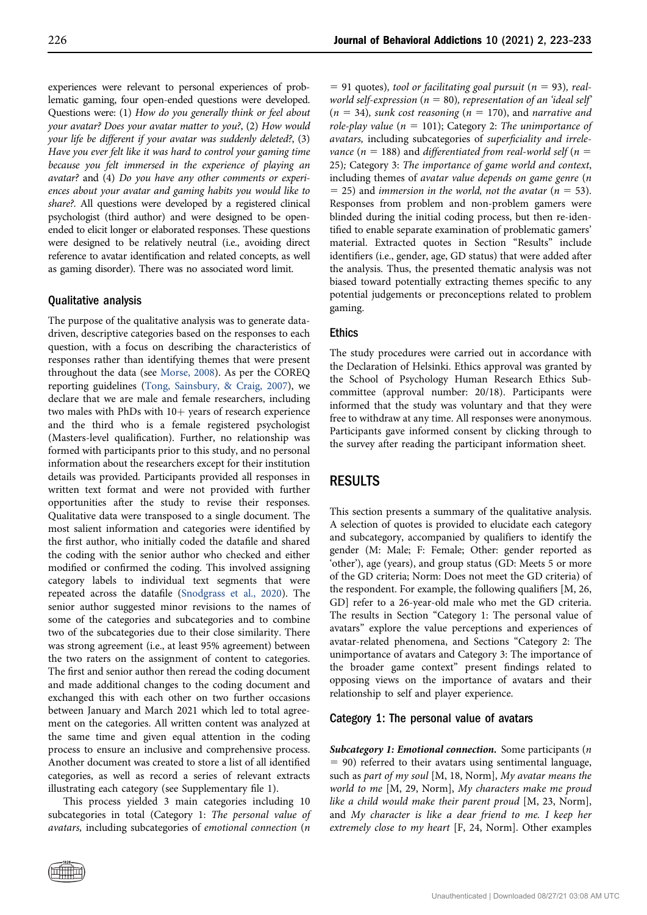experiences were relevant to personal experiences of problematic gaming, four open-ended questions were developed. Questions were: (1) How do you generally think or feel about your avatar? Does your avatar matter to you?, (2) How would your life be different if your avatar was suddenly deleted?, (3) Have you ever felt like it was hard to control your gaming time because you felt immersed in the experience of playing an avatar? and (4) Do you have any other comments or experiences about your avatar and gaming habits you would like to share?. All questions were developed by a registered clinical psychologist (third author) and were designed to be openended to elicit longer or elaborated responses. These questions were designed to be relatively neutral (i.e., avoiding direct reference to avatar identification and related concepts, as well as gaming disorder). There was no associated word limit.

#### Qualitative analysis

The purpose of the qualitative analysis was to generate datadriven, descriptive categories based on the responses to each question, with a focus on describing the characteristics of responses rather than identifying themes that were present throughout the data (see [Morse, 2008\)](#page-10-23). As per the COREQ reporting guidelines [\(Tong, Sainsbury, & Craig, 2007\)](#page-10-24), we declare that we are male and female researchers, including two males with PhDs with  $10+$  years of research experience and the third who is a female registered psychologist (Masters-level qualification). Further, no relationship was formed with participants prior to this study, and no personal information about the researchers except for their institution details was provided. Participants provided all responses in written text format and were not provided with further opportunities after the study to revise their responses. Qualitative data were transposed to a single document. The most salient information and categories were identified by the first author, who initially coded the datafile and shared the coding with the senior author who checked and either modified or confirmed the coding. This involved assigning category labels to individual text segments that were repeated across the datafile ([Snodgrass et al., 2020](#page-10-25)). The senior author suggested minor revisions to the names of some of the categories and subcategories and to combine two of the subcategories due to their close similarity. There was strong agreement (i.e., at least 95% agreement) between the two raters on the assignment of content to categories. The first and senior author then reread the coding document and made additional changes to the coding document and exchanged this with each other on two further occasions between January and March 2021 which led to total agreement on the categories. All written content was analyzed at the same time and given equal attention in the coding process to ensure an inclusive and comprehensive process. Another document was created to store a list of all identified categories, as well as record a series of relevant extracts illustrating each category (see Supplementary file 1).

This process yielded 3 main categories including 10 subcategories in total (Category 1: The personal value of avatars, including subcategories of emotional connection (n

 $= 91$  quotes), tool or facilitating goal pursuit (n = 93), realworld self-expression ( $n = 80$ ), representation of an 'ideal self'  $(n = 34)$ , sunk cost reasoning  $(n = 170)$ , and narrative and role-play value ( $n = 101$ ); Category 2: The unimportance of avatars, including subcategories of superficiality and irrelevance (n = 188) and differentiated from real-world self (n = 25); Category 3: The importance of game world and context, including themes of avatar value depends on game genre (n  $=$  25) and immersion in the world, not the avatar ( $n = 53$ ). Responses from problem and non-problem gamers were blinded during the initial coding process, but then re-identified to enable separate examination of problematic gamers' material. Extracted quotes in Section "Results" include identifiers (i.e., gender, age, GD status) that were added after the analysis. Thus, the presented thematic analysis was not biased toward potentially extracting themes specific to any potential judgements or preconceptions related to problem gaming.

### **Ethics**

The study procedures were carried out in accordance with the Declaration of Helsinki. Ethics approval was granted by the School of Psychology Human Research Ethics Subcommittee (approval number: 20/18). Participants were informed that the study was voluntary and that they were free to withdraw at any time. All responses were anonymous. Participants gave informed consent by clicking through to the survey after reading the participant information sheet.

# RESULTS

This section presents a summary of the qualitative analysis. A selection of quotes is provided to elucidate each category and subcategory, accompanied by qualifiers to identify the gender (M: Male; F: Female; Other: gender reported as 'other'), age (years), and group status (GD: Meets 5 or more of the GD criteria; Norm: Does not meet the GD criteria) of the respondent. For example, the following qualifiers [M, 26, GD] refer to a 26-year-old male who met the GD criteria. The results in Section "Category 1: The personal value of avatars" explore the value perceptions and experiences of avatar-related phenomena, and Sections "Category 2: The unimportance of avatars and Category 3: The importance of the broader game context" present findings related to opposing views on the importance of avatars and their relationship to self and player experience.

#### Category 1: The personal value of avatars

Subcategory 1: Emotional connection. Some participants  $(n)$  $= 90$ ) referred to their avatars using sentimental language, such as part of my soul [M, 18, Norm], My avatar means the world to me [M, 29, Norm], My characters make me proud like a child would make their parent proud [M, 23, Norm], and My character is like a dear friend to me. I keep her extremely close to my heart [F, 24, Norm]. Other examples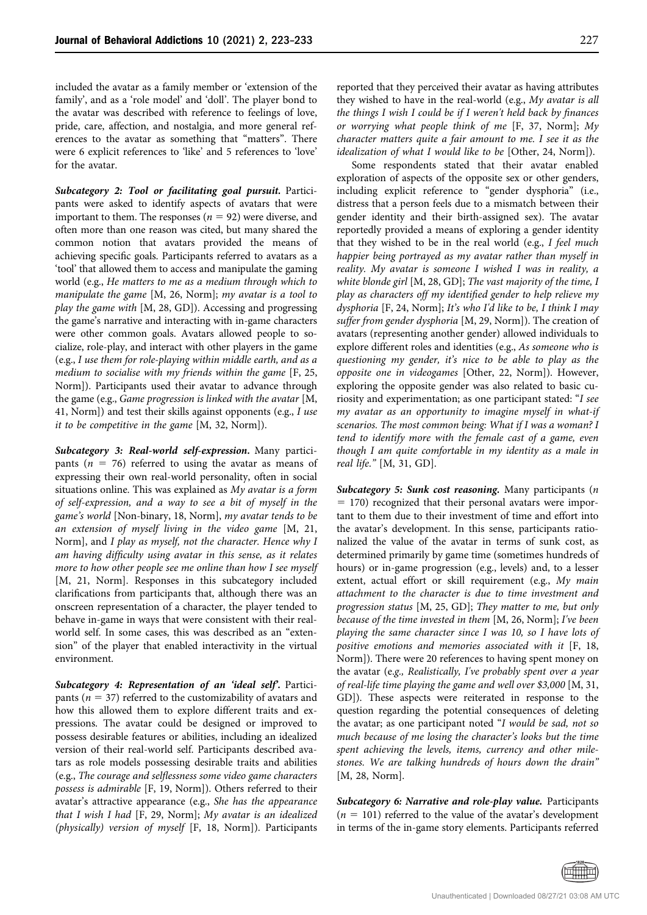included the avatar as a family member or 'extension of the family', and as a 'role model' and 'doll'. The player bond to the avatar was described with reference to feelings of love, pride, care, affection, and nostalgia, and more general references to the avatar as something that "matters". There were 6 explicit references to 'like' and 5 references to 'love' for the avatar.

Subcategory 2: Tool or facilitating goal pursuit. Participants were asked to identify aspects of avatars that were important to them. The responses ( $n = 92$ ) were diverse, and often more than one reason was cited, but many shared the common notion that avatars provided the means of achieving specific goals. Participants referred to avatars as a 'tool' that allowed them to access and manipulate the gaming world (e.g., He matters to me as a medium through which to manipulate the game [M, 26, Norm]; my avatar is a tool to play the game with [M, 28, GD]). Accessing and progressing the game's narrative and interacting with in-game characters were other common goals. Avatars allowed people to socialize, role-play, and interact with other players in the game (e.g., I use them for role-playing within middle earth, and as a medium to socialise with my friends within the game [F, 25, Norm]). Participants used their avatar to advance through the game (e.g., Game progression is linked with the avatar [M, 41, Norm]) and test their skills against opponents (e.g., I use it to be competitive in the game [M, 32, Norm]).

Subcategory 3: Real-world self-expression. Many participants ( $n = 76$ ) referred to using the avatar as means of expressing their own real-world personality, often in social situations online. This was explained as My avatar is a form of self-expression, and a way to see a bit of myself in the game's world [Non-binary, 18, Norm], my avatar tends to be an extension of myself living in the video game [M, 21, Norm], and I play as myself, not the character. Hence why I am having difficulty using avatar in this sense, as it relates more to how other people see me online than how I see myself [M, 21, Norm]. Responses in this subcategory included clarifications from participants that, although there was an onscreen representation of a character, the player tended to behave in-game in ways that were consistent with their realworld self. In some cases, this was described as an "extension" of the player that enabled interactivity in the virtual environment.

Subcategory 4: Representation of an 'ideal self'. Participants ( $n = 37$ ) referred to the customizability of avatars and how this allowed them to explore different traits and expressions. The avatar could be designed or improved to possess desirable features or abilities, including an idealized version of their real-world self. Participants described avatars as role models possessing desirable traits and abilities (e.g., The courage and selflessness some video game characters possess is admirable [F, 19, Norm]). Others referred to their avatar's attractive appearance (e.g., She has the appearance that I wish I had [F, 29, Norm]; My avatar is an idealized (physically) version of myself [F, 18, Norm]). Participants

reported that they perceived their avatar as having attributes they wished to have in the real-world (e.g., My avatar is all the things I wish I could be if I weren't held back by finances or worrying what people think of me [F, 37, Norm]; My character matters quite a fair amount to me. I see it as the idealization of what I would like to be [Other, 24, Norm]).

Some respondents stated that their avatar enabled exploration of aspects of the opposite sex or other genders, including explicit reference to "gender dysphoria" (i.e., distress that a person feels due to a mismatch between their gender identity and their birth-assigned sex). The avatar reportedly provided a means of exploring a gender identity that they wished to be in the real world (e.g., I feel much happier being portrayed as my avatar rather than myself in reality. My avatar is someone I wished I was in reality, a white blonde girl [M, 28, GD]; The vast majority of the time, I play as characters off my identified gender to help relieve my dysphoria  $[F, 24, \text{Norm}]$ ; It's who I'd like to be, I think I may suffer from gender dysphoria [M, 29, Norm]). The creation of avatars (representing another gender) allowed individuals to explore different roles and identities (e.g., As someone who is questioning my gender, it's nice to be able to play as the opposite one in videogames [Other, 22, Norm]). However, exploring the opposite gender was also related to basic curiosity and experimentation; as one participant stated: "I see my avatar as an opportunity to imagine myself in what-if scenarios. The most common being: What if I was a woman? I tend to identify more with the female cast of a game, even though I am quite comfortable in my identity as a male in real life." [M, 31, GD].

Subcategory 5: Sunk cost reasoning. Many participants (n  $= 170$ ) recognized that their personal avatars were important to them due to their investment of time and effort into the avatar's development. In this sense, participants rationalized the value of the avatar in terms of sunk cost, as determined primarily by game time (sometimes hundreds of hours) or in-game progression (e.g., levels) and, to a lesser extent, actual effort or skill requirement (e.g., My main attachment to the character is due to time investment and progression status [M, 25, GD]; They matter to me, but only because of the time invested in them [M, 26, Norm]; I've been playing the same character since I was 10, so I have lots of positive emotions and memories associated with it [F, 18, Norm]). There were 20 references to having spent money on the avatar (e.g., Realistically, I've probably spent over a year of real-life time playing the game and well over \$3,000 [M, 31, GD]). These aspects were reiterated in response to the question regarding the potential consequences of deleting the avatar; as one participant noted "I would be sad, not so much because of me losing the character's looks but the time spent achieving the levels, items, currency and other milestones. We are talking hundreds of hours down the drain" [M, 28, Norm].

Subcategory 6: Narrative and role-play value. Participants  $(n = 101)$  referred to the value of the avatar's development in terms of the in-game story elements. Participants referred

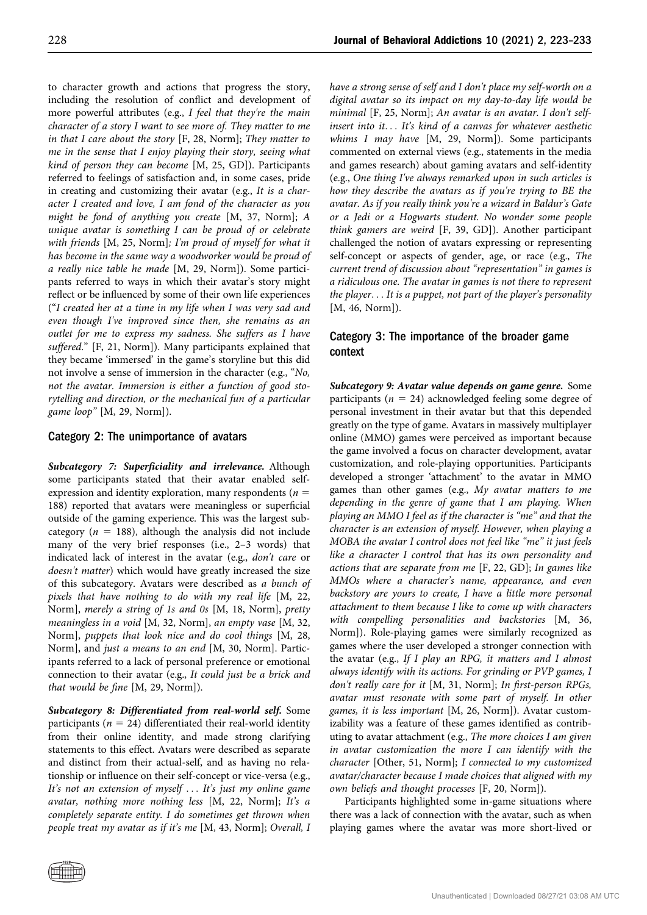to character growth and actions that progress the story, including the resolution of conflict and development of more powerful attributes (e.g., I feel that they're the main character of a story I want to see more of. They matter to me in that I care about the story [F, 28, Norm]; They matter to me in the sense that I enjoy playing their story, seeing what kind of person they can become [M, 25, GD]). Participants referred to feelings of satisfaction and, in some cases, pride in creating and customizing their avatar (e.g., It is a character I created and love, I am fond of the character as you might be fond of anything you create [M, 37, Norm]; A unique avatar is something I can be proud of or celebrate with friends [M, 25, Norm]; I'm proud of myself for what it has become in the same way a woodworker would be proud of a really nice table he made [M, 29, Norm]). Some participants referred to ways in which their avatar's story might reflect or be influenced by some of their own life experiences ("I created her at a time in my life when I was very sad and even though I've improved since then, she remains as an outlet for me to express my sadness. She suffers as I have suffered." [F, 21, Norm]). Many participants explained that they became 'immersed' in the game's storyline but this did not involve a sense of immersion in the character (e.g., "No, not the avatar. Immersion is either a function of good storytelling and direction, or the mechanical fun of a particular game loop" [M, 29, Norm]).

### Category 2: The unimportance of avatars

Subcategory 7: Superficiality and irrelevance. Although some participants stated that their avatar enabled selfexpression and identity exploration, many respondents ( $n =$ 188) reported that avatars were meaningless or superficial outside of the gaming experience. This was the largest subcategory ( $n = 188$ ), although the analysis did not include many of the very brief responses (i.e., 2–3 words) that indicated lack of interest in the avatar (e.g., don't care or doesn't matter) which would have greatly increased the size of this subcategory. Avatars were described as a bunch of pixels that have nothing to do with my real life [M, 22, Norm], merely a string of 1s and 0s [M, 18, Norm], pretty meaningless in a void [M, 32, Norm], an empty vase [M, 32, Norm], puppets that look nice and do cool things [M, 28, Norm], and just a means to an end [M, 30, Norm]. Participants referred to a lack of personal preference or emotional connection to their avatar (e.g., It could just be a brick and that would be fine [M, 29, Norm]).

Subcategory 8: Differentiated from real-world self. Some participants ( $n = 24$ ) differentiated their real-world identity from their online identity, and made strong clarifying statements to this effect. Avatars were described as separate and distinct from their actual-self, and as having no relationship or influence on their self-concept or vice-versa (e.g., It's not an extension of myself ... It's just my online game avatar, nothing more nothing less [M, 22, Norm]; It's a completely separate entity. I do sometimes get thrown when people treat my avatar as if it's me [M, 43, Norm]; Overall, I have a strong sense of self and I don't place my self-worth on a digital avatar so its impact on my day-to-day life would be minimal [F, 25, Norm]; An avatar is an avatar. I don't selfinsert into it... It's kind of a canvas for whatever aesthetic whims I may have [M, 29, Norm]). Some participants commented on external views (e.g., statements in the media and games research) about gaming avatars and self-identity (e.g., One thing I've always remarked upon in such articles is how they describe the avatars as if you're trying to BE the avatar. As if you really think you're a wizard in Baldur's Gate or a Jedi or a Hogwarts student. No wonder some people think gamers are weird [F, 39, GD]). Another participant challenged the notion of avatars expressing or representing self-concept or aspects of gender, age, or race (e.g., The current trend of discussion about "representation" in games is a ridiculous one. The avatar in games is not there to represent the player... It is a puppet, not part of the player's personality [M, 46, Norm]).

# Category 3: The importance of the broader game context

Subcategory 9: Avatar value depends on game genre. Some participants ( $n = 24$ ) acknowledged feeling some degree of personal investment in their avatar but that this depended greatly on the type of game. Avatars in massively multiplayer online (MMO) games were perceived as important because the game involved a focus on character development, avatar customization, and role-playing opportunities. Participants developed a stronger 'attachment' to the avatar in MMO games than other games (e.g., My avatar matters to me depending in the genre of game that I am playing. When playing an MMO I feel as if the character is "me" and that the character is an extension of myself. However, when playing a MOBA the avatar I control does not feel like "me" it just feels like a character I control that has its own personality and actions that are separate from me [F, 22, GD]; In games like MMOs where a character's name, appearance, and even backstory are yours to create, I have a little more personal attachment to them because I like to come up with characters with compelling personalities and backstories [M, 36, Norm]). Role-playing games were similarly recognized as games where the user developed a stronger connection with the avatar (e.g., If I play an RPG, it matters and I almost always identify with its actions. For grinding or PVP games, I don't really care for it [M, 31, Norm]; In first-person RPGs, avatar must resonate with some part of myself. In other games, it is less important [M, 26, Norm]). Avatar customizability was a feature of these games identified as contributing to avatar attachment (e.g., The more choices I am given in avatar customization the more I can identify with the character [Other, 51, Norm]; I connected to my customized avatar/character because I made choices that aligned with my own beliefs and thought processes [F, 20, Norm]).

Participants highlighted some in-game situations where there was a lack of connection with the avatar, such as when playing games where the avatar was more short-lived or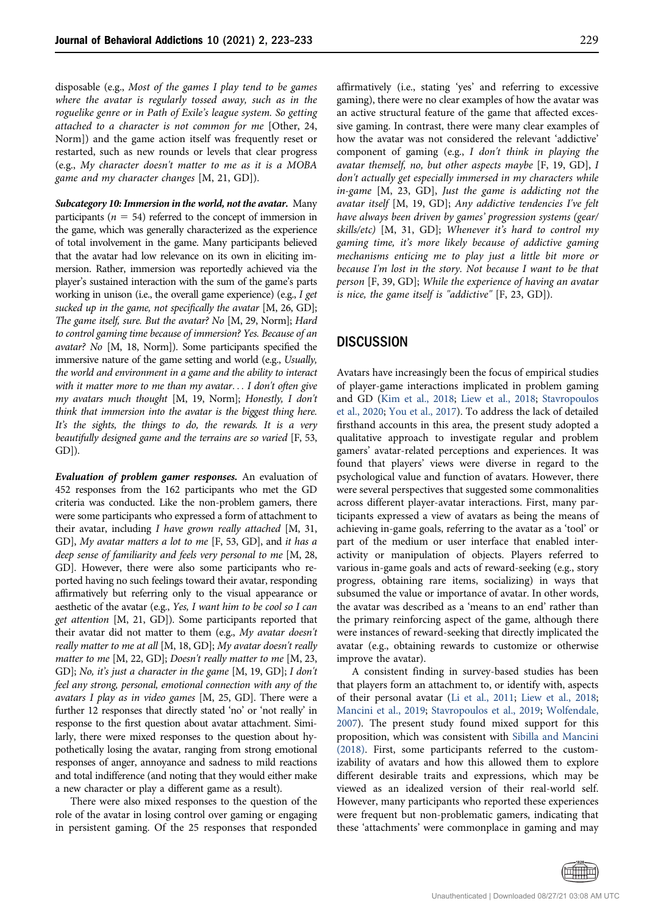disposable (e.g., Most of the games I play tend to be games where the avatar is regularly tossed away, such as in the roguelike genre or in Path of Exile's league system. So getting attached to a character is not common for me [Other, 24, Norm]) and the game action itself was frequently reset or restarted, such as new rounds or levels that clear progress (e.g., My character doesn't matter to me as it is a MOBA game and my character changes [M, 21, GD]).

Subcategory 10: Immersion in the world, not the avatar. Many participants ( $n = 54$ ) referred to the concept of immersion in the game, which was generally characterized as the experience of total involvement in the game. Many participants believed that the avatar had low relevance on its own in eliciting immersion. Rather, immersion was reportedly achieved via the player's sustained interaction with the sum of the game's parts working in unison (i.e., the overall game experience) (e.g., I get sucked up in the game, not specifically the avatar  $[M, 26, GD];$ The game itself, sure. But the avatar? No [M, 29, Norm]; Hard to control gaming time because of immersion? Yes. Because of an avatar? No [M, 18, Norm]). Some participants specified the immersive nature of the game setting and world (e.g., Usually, the world and environment in a game and the ability to interact with it matter more to me than my avatar... I don't often give my avatars much thought [M, 19, Norm]; Honestly, I don't think that immersion into the avatar is the biggest thing here. It's the sights, the things to do, the rewards. It is a very beautifully designed game and the terrains are so varied [F, 53, GD]).

Evaluation of problem gamer responses. An evaluation of 452 responses from the 162 participants who met the GD criteria was conducted. Like the non-problem gamers, there were some participants who expressed a form of attachment to their avatar, including I have grown really attached [M, 31, GD], My avatar matters a lot to me [F, 53, GD], and it has a deep sense of familiarity and feels very personal to me [M, 28, GD]. However, there were also some participants who reported having no such feelings toward their avatar, responding affirmatively but referring only to the visual appearance or aesthetic of the avatar (e.g., Yes, I want him to be cool so I can get attention [M, 21, GD]). Some participants reported that their avatar did not matter to them (e.g., My avatar doesn't really matter to me at all [M, 18, GD]; My avatar doesn't really matter to me [M, 22, GD]; Doesn't really matter to me [M, 23, GD]; No, it's just a character in the game [M, 19, GD]; I don't feel any strong, personal, emotional connection with any of the avatars I play as in video games [M, 25, GD]. There were a further 12 responses that directly stated 'no' or 'not really' in response to the first question about avatar attachment. Similarly, there were mixed responses to the question about hypothetically losing the avatar, ranging from strong emotional responses of anger, annoyance and sadness to mild reactions and total indifference (and noting that they would either make a new character or play a different game as a result).

There were also mixed responses to the question of the role of the avatar in losing control over gaming or engaging in persistent gaming. Of the 25 responses that responded affirmatively (i.e., stating 'yes' and referring to excessive gaming), there were no clear examples of how the avatar was an active structural feature of the game that affected excessive gaming. In contrast, there were many clear examples of how the avatar was not considered the relevant 'addictive' component of gaming (e.g., I don't think in playing the avatar themself, no, but other aspects maybe [F, 19, GD], I don't actually get especially immersed in my characters while in-game [M, 23, GD], Just the game is addicting not the avatar itself [M, 19, GD]; Any addictive tendencies I've felt have always been driven by games' progression systems (gear/ skills/etc) [M, 31, GD]; Whenever it's hard to control my gaming time, it's more likely because of addictive gaming mechanisms enticing me to play just a little bit more or because I'm lost in the story. Not because I want to be that person [F, 39, GD]; While the experience of having an avatar is nice, the game itself is "addictive" [F, 23, GD]).

## **DISCUSSION**

Avatars have increasingly been the focus of empirical studies of player-game interactions implicated in problem gaming and GD ([Kim et al., 2018;](#page-9-14) [Liew et al., 2018;](#page-10-7) [Stavropoulos](#page-10-11) [et al., 2020;](#page-10-11) [You et al., 2017](#page-10-16)). To address the lack of detailed firsthand accounts in this area, the present study adopted a qualitative approach to investigate regular and problem gamers' avatar-related perceptions and experiences. It was found that players' views were diverse in regard to the psychological value and function of avatars. However, there were several perspectives that suggested some commonalities across different player-avatar interactions. First, many participants expressed a view of avatars as being the means of achieving in-game goals, referring to the avatar as a 'tool' or part of the medium or user interface that enabled interactivity or manipulation of objects. Players referred to various in-game goals and acts of reward-seeking (e.g., story progress, obtaining rare items, socializing) in ways that subsumed the value or importance of avatar. In other words, the avatar was described as a 'means to an end' rather than the primary reinforcing aspect of the game, although there were instances of reward-seeking that directly implicated the avatar (e.g., obtaining rewards to customize or otherwise improve the avatar).

A consistent finding in survey-based studies has been that players form an attachment to, or identify with, aspects of their personal avatar [\(Li et al., 2011](#page-10-6); [Liew et al., 2018;](#page-10-7) [Mancini et al., 2019](#page-10-8); [Stavropoulos et al., 2019](#page-10-9); [Wolfendale,](#page-10-10) [2007\)](#page-10-10). The present study found mixed support for this proposition, which was consistent with [Sibilla and Mancini](#page-10-1) [\(2018\).](#page-10-1) First, some participants referred to the customizability of avatars and how this allowed them to explore different desirable traits and expressions, which may be viewed as an idealized version of their real-world self. However, many participants who reported these experiences were frequent but non-problematic gamers, indicating that these 'attachments' were commonplace in gaming and may

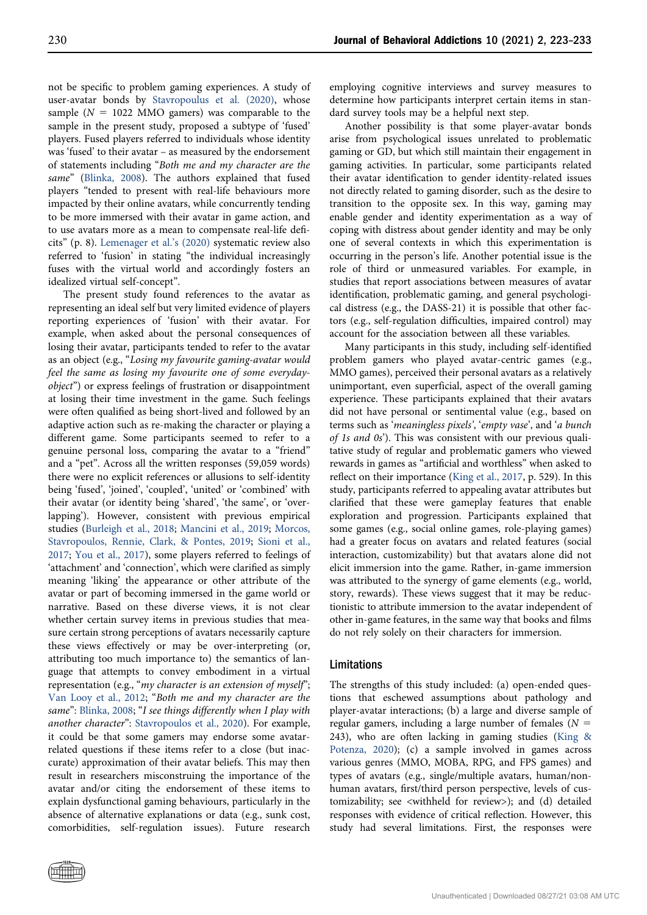not be specific to problem gaming experiences. A study of user-avatar bonds by [Stavropoulus et al. \(2020\)](#page-10-11), whose sample ( $N = 1022$  MMO gamers) was comparable to the sample in the present study, proposed a subtype of 'fused' players. Fused players referred to individuals whose identity was 'fused' to their avatar – as measured by the endorsement of statements including "Both me and my character are the same" [\(Blinka, 2008](#page-8-6)). The authors explained that fused players "tended to present with real-life behaviours more impacted by their online avatars, while concurrently tending to be more immersed with their avatar in game action, and to use avatars more as a mean to compensate real-life deficits" (p. 8). [Lemenager et al.](#page-10-0)'s (2020) systematic review also referred to 'fusion' in stating "the individual increasingly fuses with the virtual world and accordingly fosters an idealized virtual self-concept".

The present study found references to the avatar as representing an ideal self but very limited evidence of players reporting experiences of 'fusion' with their avatar. For example, when asked about the personal consequences of losing their avatar, participants tended to refer to the avatar as an object (e.g., "Losing my favourite gaming-avatar would feel the same as losing my favourite one of some everydayobject") or express feelings of frustration or disappointment at losing their time investment in the game. Such feelings were often qualified as being short-lived and followed by an adaptive action such as re-making the character or playing a different game. Some participants seemed to refer to a genuine personal loss, comparing the avatar to a "friend" and a "pet". Across all the written responses (59,059 words) there were no explicit references or allusions to self-identity being 'fused', 'joined', 'coupled', 'united' or 'combined' with their avatar (or identity being 'shared', 'the same', or 'overlapping'). However, consistent with previous empirical studies ([Burleigh et al., 2018](#page-8-3); [Mancini et al., 2019](#page-10-8); [Morcos,](#page-10-19) [Stavropoulos, Rennie, Clark, & Pontes, 2019;](#page-10-19) [Sioni et al.,](#page-10-15) [2017](#page-10-15); [You et al., 2017](#page-10-16)), some players referred to feelings of 'attachment' and 'connection', which were clarified as simply meaning 'liking' the appearance or other attribute of the avatar or part of becoming immersed in the game world or narrative. Based on these diverse views, it is not clear whether certain survey items in previous studies that measure certain strong perceptions of avatars necessarily capture these views effectively or may be over-interpreting (or, attributing too much importance to) the semantics of language that attempts to convey embodiment in a virtual representation (e.g., "my character is an extension of myself"; [Van Looy et al., 2012;](#page-10-12) "Both me and my character are the same": [Blinka, 2008;](#page-8-6) "I see things differently when I play with another character": [Stavropoulos et al., 2020\)](#page-10-11). For example, it could be that some gamers may endorse some avatarrelated questions if these items refer to a close (but inaccurate) approximation of their avatar beliefs. This may then result in researchers misconstruing the importance of the avatar and/or citing the endorsement of these items to explain dysfunctional gaming behaviours, particularly in the absence of alternative explanations or data (e.g., sunk cost, comorbidities, self-regulation issues). Future research

employing cognitive interviews and survey measures to determine how participants interpret certain items in standard survey tools may be a helpful next step.

Another possibility is that some player-avatar bonds arise from psychological issues unrelated to problematic gaming or GD, but which still maintain their engagement in gaming activities. In particular, some participants related their avatar identification to gender identity-related issues not directly related to gaming disorder, such as the desire to transition to the opposite sex. In this way, gaming may enable gender and identity experimentation as a way of coping with distress about gender identity and may be only one of several contexts in which this experimentation is occurring in the person's life. Another potential issue is the role of third or unmeasured variables. For example, in studies that report associations between measures of avatar identification, problematic gaming, and general psychological distress (e.g., the DASS-21) it is possible that other factors (e.g., self-regulation difficulties, impaired control) may account for the association between all these variables.

Many participants in this study, including self-identified problem gamers who played avatar-centric games (e.g., MMO games), perceived their personal avatars as a relatively unimportant, even superficial, aspect of the overall gaming experience. These participants explained that their avatars did not have personal or sentimental value (e.g., based on terms such as 'meaningless pixels', 'empty vase', and 'a bunch of 1s and 0s'). This was consistent with our previous qualitative study of regular and problematic gamers who viewed rewards in games as "artificial and worthless" when asked to reflect on their importance [\(King et al., 2017](#page-9-0), p. 529). In this study, participants referred to appealing avatar attributes but clarified that these were gameplay features that enable exploration and progression. Participants explained that some games (e.g., social online games, role-playing games) had a greater focus on avatars and related features (social interaction, customizability) but that avatars alone did not elicit immersion into the game. Rather, in-game immersion was attributed to the synergy of game elements (e.g., world, story, rewards). These views suggest that it may be reductionistic to attribute immersion to the avatar independent of other in-game features, in the same way that books and films do not rely solely on their characters for immersion.

#### Limitations

The strengths of this study included: (a) open-ended questions that eschewed assumptions about pathology and player-avatar interactions; (b) a large and diverse sample of regular gamers, including a large number of females ( $N =$ 243), who are often lacking in gaming studies ([King &](#page-9-24) [Potenza, 2020](#page-9-24)); (c) a sample involved in games across various genres (MMO, MOBA, RPG, and FPS games) and types of avatars (e.g., single/multiple avatars, human/nonhuman avatars, first/third person perspective, levels of customizability; see <withheld for review>); and (d) detailed responses with evidence of critical reflection. However, this study had several limitations. First, the responses were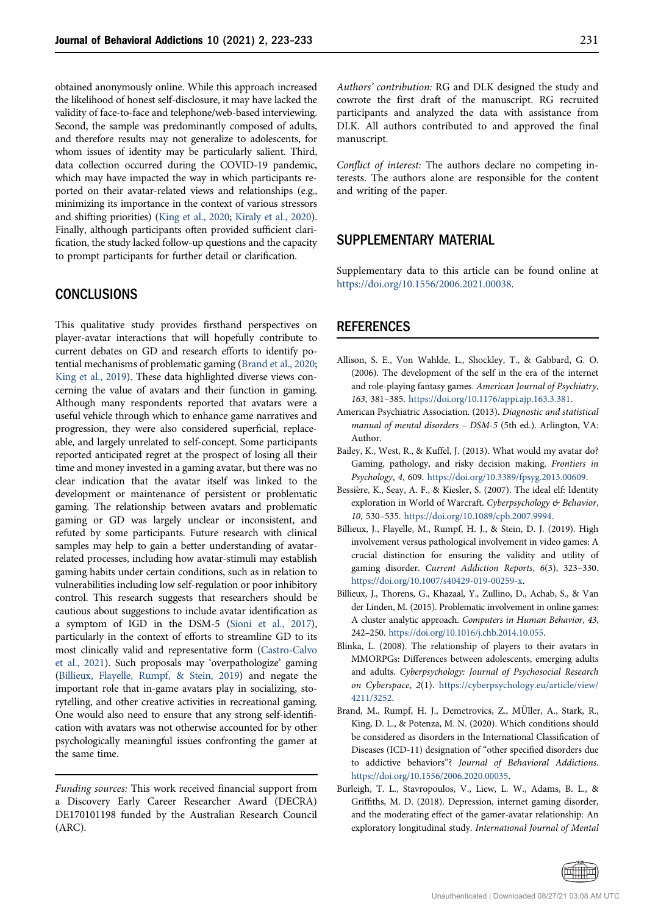obtained anonymously online. While this approach increased the likelihood of honest self-disclosure, it may have lacked the validity of face-to-face and telephone/web-based interviewing. Second, the sample was predominantly composed of adults, and therefore results may not generalize to adolescents, for whom issues of identity may be particularly salient. Third, data collection occurred during the COVID-19 pandemic, which may have impacted the way in which participants reported on their avatar-related views and relationships (e.g., minimizing its importance in the context of various stressors and shifting priorities) [\(King et al., 2020](#page-9-25); [Kiraly et al., 2020](#page-9-26)). Finally, although participants often provided sufficient clarification, the study lacked follow-up questions and the capacity to prompt participants for further detail or clarification.

# **CONCLUSIONS**

This qualitative study provides firsthand perspectives on player-avatar interactions that will hopefully contribute to current debates on GD and research efforts to identify potential mechanisms of problematic gaming [\(Brand et al., 2020;](#page-8-7) [King et al., 2019](#page-9-1)). These data highlighted diverse views concerning the value of avatars and their function in gaming. Although many respondents reported that avatars were a useful vehicle through which to enhance game narratives and progression, they were also considered superficial, replaceable, and largely unrelated to self-concept. Some participants reported anticipated regret at the prospect of losing all their time and money invested in a gaming avatar, but there was no clear indication that the avatar itself was linked to the development or maintenance of persistent or problematic gaming. The relationship between avatars and problematic gaming or GD was largely unclear or inconsistent, and refuted by some participants. Future research with clinical samples may help to gain a better understanding of avatarrelated processes, including how avatar-stimuli may establish gaming habits under certain conditions, such as in relation to vulnerabilities including low self-regulation or poor inhibitory control. This research suggests that researchers should be cautious about suggestions to include avatar identification as a symptom of IGD in the DSM-5 ([Sioni et al., 2017](#page-10-15)), particularly in the context of efforts to streamline GD to its most clinically valid and representative form [\(Castro-Calvo](#page-9-27) [et al., 2021](#page-9-27)). Such proposals may 'overpathologize' gaming [\(Billieux, Flayelle, Rumpf, & Stein, 2019](#page-8-8)) and negate the important role that in-game avatars play in socializing, storytelling, and other creative activities in recreational gaming. One would also need to ensure that any strong self-identification with avatars was not otherwise accounted for by other psychologically meaningful issues confronting the gamer at the same time.

Funding sources: This work received financial support from a Discovery Early Career Researcher Award (DECRA) DE170101198 funded by the Australian Research Council (ARC).

Authors' contribution: RG and DLK designed the study and cowrote the first draft of the manuscript. RG recruited participants and analyzed the data with assistance from DLK. All authors contributed to and approved the final manuscript.

Conflict of interest: The authors declare no competing interests. The authors alone are responsible for the content and writing of the paper.

## SUPPLEMENTARY MATERIAL

Supplementary data to this article can be found online at [https://doi.org/10.1556/2006.2021.00038.](https://doi.org/10.1556/2006.2021.00038)

## **REFERENCES**

- <span id="page-8-4"></span>Allison, S. E., Von Wahlde, L., Shockley, T., & Gabbard, G. O. (2006). The development of the self in the era of the internet and role-playing fantasy games. American Journal of Psychiatry, 163, 381–385. [https://doi.org/10.1176/appi.ajp.163.3.381](http://doi.org/10.1176/appi.ajp.163.3.381).
- <span id="page-8-5"></span>American Psychiatric Association. (2013). Diagnostic and statistical manual of mental disorders – DSM-5 (5th ed.). Arlington, VA: Author.
- <span id="page-8-1"></span>Bailey, K., West, R., & Kuffel, J. (2013). What would my avatar do? Gaming, pathology, and risky decision making. Frontiers in Psychology, 4, 609. [https://doi.org/10.3389/fpsyg.2013.00609](http://doi.org/10.3389/fpsyg.2013.00609).
- <span id="page-8-2"></span>Bessière, K., Seay, A. F., & Kiesler, S. (2007). The ideal elf: Identity exploration in World of Warcraft. Cyberpsychology & Behavior, 10, 530–535. [https://doi.org/10.1089/cpb.2007.9994.](http://doi.org/10.1089/cpb.2007.9994)
- <span id="page-8-8"></span>Billieux, J., Flayelle, M., Rumpf, H. J., & Stein, D. J. (2019). High involvement versus pathological involvement in video games: A crucial distinction for ensuring the validity and utility of gaming disorder. Current Addiction Reports, 6(3), 323–330. [https://doi.org/10.1007/s40429-019-00259-x.](http://doi.org/10.1007/s40429-019-00259-x)
- <span id="page-8-0"></span>Billieux, J., Thorens, G., Khazaal, Y., Zullino, D., Achab, S., & Van der Linden, M. (2015). Problematic involvement in online games: A cluster analytic approach. Computers in Human Behavior, 43, 242–250. [https://doi.org/10.1016/j.chb.2014.10.055](http://doi.org/10.1016/j.chb.2014.10.055).
- <span id="page-8-6"></span>Blinka, L. (2008). The relationship of players to their avatars in MMORPGs: Differences between adolescents, emerging adults and adults. Cyberpsychology: Journal of Psychosocial Research on Cyberspace, 2(1). [https://cyberpsychology.eu/article/view/](https://cyberpsychology.eu/article/view/4211/3252) [4211/3252.](https://cyberpsychology.eu/article/view/4211/3252)
- <span id="page-8-7"></span>Brand, M., Rumpf, H. J., Demetrovics, Z., MÜller, A., Stark, R., King, D. L., & Potenza, M. N. (2020). Which conditions should be considered as disorders in the International Classification of Diseases (ICD-11) designation of "other specified disorders due to addictive behaviors"? Journal of Behavioral Addictions. [https://doi.org/10.1556/2006.2020.00035.](https://doi.org/10.1556/2006.2020.00035)
- <span id="page-8-3"></span>Burleigh, T. L., Stavropoulos, V., Liew, L. W., Adams, B. L., & Griffiths, M. D. (2018). Depression, internet gaming disorder, and the moderating effect of the gamer-avatar relationship: An exploratory longitudinal study. International Journal of Mental

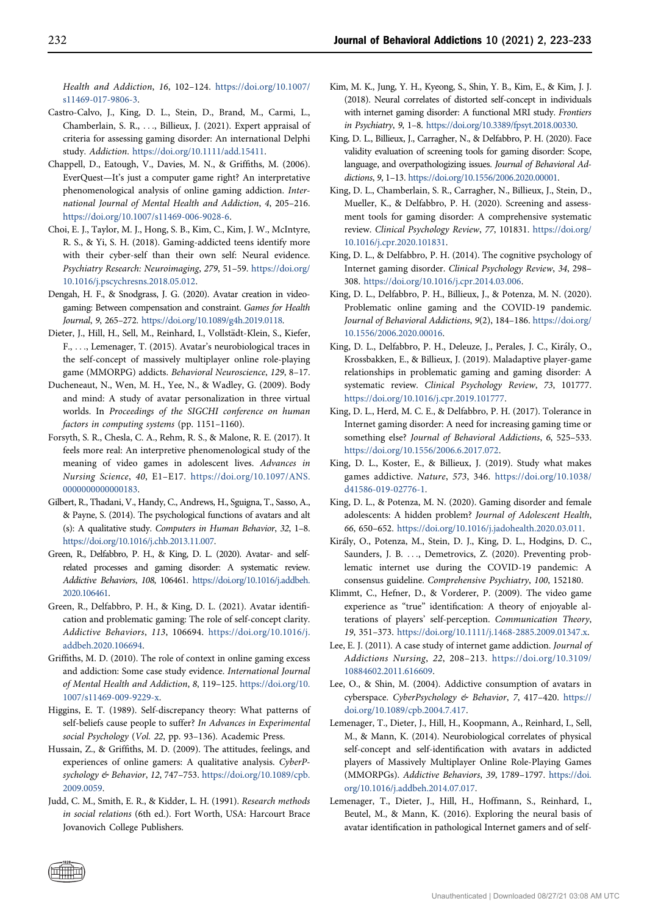Health and Addiction, 16, 102–124. [https://doi.org/10.1007/](http://doi.org/10.1007/s11469-017-9806-3) [s11469-017-9806-3](http://doi.org/10.1007/s11469-017-9806-3).

- <span id="page-9-27"></span>Castro-Calvo, J., King, D. L., Stein, D., Brand, M., Carmi, L., Chamberlain, S. R., ..., Billieux, J. (2021). Expert appraisal of criteria for assessing gaming disorder: An international Delphi study. Addiction. [https://doi.org/10.1111/add.15411](doi:https://doi.org/10.1111/add.15411).
- <span id="page-9-16"></span>Chappell, D., Eatough, V., Davies, M. N., & Griffiths, M. (2006). EverQuest—It's just a computer game right? An interpretative phenomenological analysis of online gaming addiction. International Journal of Mental Health and Addiction, 4, 205–216. <https://doi.org/10.1007/s11469-006-9028-6>.
- <span id="page-9-12"></span>Choi, E. J., Taylor, M. J., Hong, S. B., Kim, C., Kim, J. W., McIntyre, R. S., & Yi, S. H. (2018). Gaming-addicted teens identify more with their cyber-self than their own self: Neural evidence. Psychiatry Research: Neuroimaging, 279, 51–59. [https://doi.org/](https://doi.org/10.1016/j.pscychresns.2018.05.012) [10.1016/j.pscychresns.2018.05.012.](https://doi.org/10.1016/j.pscychresns.2018.05.012)
- <span id="page-9-8"></span>Dengah, H. F., & Snodgrass, J. G. (2020). Avatar creation in videogaming: Between compensation and constraint. Games for Health Journal, 9, 265–272. [https://doi.org/10.1089/g4h.2019.0118.](doi:https://doi.org/10.1089/g4h.2019.0118)
- <span id="page-9-13"></span>Dieter, J., Hill, H., Sell, M., Reinhard, I., Vollstädt-Klein, S., Kiefer, F., ..., Lemenager, T. (2015). Avatar's neurobiological traces in the self-concept of massively multiplayer online role-playing game (MMORPG) addicts. Behavioral Neuroscience, 129, 8–17.
- <span id="page-9-5"></span>Ducheneaut, N., Wen, M. H., Yee, N., & Wadley, G. (2009). Body and mind: A study of avatar personalization in three virtual worlds. In Proceedings of the SIGCHI conference on human factors in computing systems (pp. 1151–1160).
- <span id="page-9-3"></span>Forsyth, S. R., Chesla, C. A., Rehm, R. S., & Malone, R. E. (2017). It feels more real: An interpretive phenomenological study of the meaning of video games in adolescent lives. Advances in Nursing Science, 40, E1–E17. [https://doi.org/10.1097/ANS.](https://doi.org/10.1097/ANS.0000000000000183) [0000000000000183.](https://doi.org/10.1097/ANS.0000000000000183)
- <span id="page-9-2"></span>Gilbert, R., Thadani, V., Handy, C., Andrews, H., Sguigna, T., Sasso, A., & Payne, S. (2014). The psychological functions of avatars and alt (s): A qualitative study. Computers in Human Behavior, 32, 1–8. [https://doi.org/10.1016/j.chb.2013.11.007.](https://doi.org/10.1016/j.chb.2013.11.007)
- <span id="page-9-7"></span>Green, R., Delfabbro, P. H., & King, D. L. (2020). Avatar- and selfrelated processes and gaming disorder: A systematic review. Addictive Behaviors, 108, 106461. [https://doi.org/10.1016/j.addbeh.](https://doi.org/10.1016/j.addbeh.2020.106461) [2020.106461](https://doi.org/10.1016/j.addbeh.2020.106461).
- <span id="page-9-21"></span>Green, R., Delfabbro, P. H., & King, D. L. (2021). Avatar identification and problematic gaming: The role of self-concept clarity. Addictive Behaviors, 113, 106694. [https://doi.org/10.1016/j.](https://doi.org/10.1016/j.addbeh.2020.106694) [addbeh.2020.106694.](https://doi.org/10.1016/j.addbeh.2020.106694)
- <span id="page-9-17"></span>Griffiths, M. D. (2010). The role of context in online gaming excess and addiction: Some case study evidence. International Journal of Mental Health and Addiction, 8, 119–125. [https://doi.org/10.](https://doi.org/10.1007/s11469-009-9229-x) [1007/s11469-009-9229-x](https://doi.org/10.1007/s11469-009-9229-x).
- <span id="page-9-11"></span>Higgins, E. T. (1989). Self-discrepancy theory: What patterns of self-beliefs cause people to suffer? In Advances in Experimental social Psychology (Vol. 22, pp. 93–136). Academic Press.
- <span id="page-9-9"></span>Hussain, Z., & Griffiths, M. D. (2009). The attitudes, feelings, and experiences of online gamers: A qualitative analysis. CyberPsychology & Behavior, 12, 747–753. [https://doi.org/10.1089/cpb.](https://doi.org/10.1089/cpb.2009.0059) [2009.0059](https://doi.org/10.1089/cpb.2009.0059).
- <span id="page-9-20"></span>Judd, C. M., Smith, E. R., & Kidder, L. H. (1991). Research methods in social relations (6th ed.). Fort Worth, USA: Harcourt Brace Jovanovich College Publishers.
- <span id="page-9-14"></span>Kim, M. K., Jung, Y. H., Kyeong, S., Shin, Y. B., Kim, E., & Kim, J. J. (2018). Neural correlates of distorted self-concept in individuals with internet gaming disorder: A functional MRI study. Frontiers in Psychiatry, 9, 1–8. [https://doi.org/10.3389/fpsyt.2018.00330.](https://doi.org/10.3389/fpsyt.2018.00330)
- <span id="page-9-22"></span>King, D. L., Billieux, J., Carragher, N., & Delfabbro, P. H. (2020). Face validity evaluation of screening tools for gaming disorder: Scope, language, and overpathologizing issues. Journal of Behavioral Addictions, 9, 1–13. <https://doi.org/10.1556/2006.2020.00001>.
- <span id="page-9-25"></span>King, D. L., Chamberlain, S. R., Carragher, N., Billieux, J., Stein, D., Mueller, K., & Delfabbro, P. H. (2020). Screening and assessment tools for gaming disorder: A comprehensive systematic review. Clinical Psychology Review, 77, 101831. [https://doi.org/](https://doi.org/10.1016/j.cpr.2020.101831) [10.1016/j.cpr.2020.101831](https://doi.org/10.1016/j.cpr.2020.101831).
- <span id="page-9-4"></span>King, D. L., & Delfabbro, P. H. (2014). The cognitive psychology of Internet gaming disorder. Clinical Psychology Review, 34, 298– 308. [https://doi.org/10.1016/j.cpr.2014.03.006.](https://doi.org/10.1016/j.cpr.2014.03.006)
- <span id="page-9-23"></span>King, D. L., Delfabbro, P. H., Billieux, J., & Potenza, M. N. (2020). Problematic online gaming and the COVID-19 pandemic. Journal of Behavioral Addictions, 9(2), 184–186. [https://doi.org/](doi:https://doi.org/10.1556/2006.2020.00016) [10.1556/2006.2020.00016](doi:https://doi.org/10.1556/2006.2020.00016).
- <span id="page-9-6"></span>King, D. L., Delfabbro, P. H., Deleuze, J., Perales, J. C., Kiraly, O., Krossbakken, E., & Billieux, J. (2019). Maladaptive player-game relationships in problematic gaming and gaming disorder: A systematic review. Clinical Psychology Review, 73, 101777. <https://doi.org/10.1016/j.cpr.2019.101777>.
- <span id="page-9-0"></span>King, D. L., Herd, M. C. E., & Delfabbro, P. H. (2017). Tolerance in Internet gaming disorder: A need for increasing gaming time or something else? Journal of Behavioral Addictions, 6, 525–533. [https://doi.org/10.1556/2006.6.2017.072.](https://doi.org/10.1556/2006.6.2017.072)
- <span id="page-9-1"></span>King, D. L., Koster, E., & Billieux, J. (2019). Study what makes games addictive. Nature, 573, 346. [https://doi.org/10.1038/](https://doi.org/10.1038/d41586-019-02776-1) [d41586-019-02776-1](https://doi.org/10.1038/d41586-019-02776-1).
- <span id="page-9-24"></span>King, D. L., & Potenza, M. N. (2020). Gaming disorder and female adolescents: A hidden problem? Journal of Adolescent Health, 66, 650–652. <https://doi.org/10.1016/j.jadohealth.2020.03.011>.
- <span id="page-9-26"></span>Kiraly, O., Potenza, M., Stein, D. J., King, D. L., Hodgins, D. C., Saunders, J. B. ..., Demetrovics, Z. (2020). Preventing problematic internet use during the COVID-19 pandemic: A consensus guideline. Comprehensive Psychiatry, 100, 152180.
- <span id="page-9-10"></span>Klimmt, C., Hefner, D., & Vorderer, P. (2009). The video game experience as "true" identification: A theory of enjoyable alterations of players' self-perception. Communication Theory, 19, 351–373. [https://doi.org/10.1111/j.1468-2885.2009.01347.x.](https://doi.org/10.1111/j.1468-2885.2009.01347.x)
- <span id="page-9-18"></span>Lee, E. J. (2011). A case study of internet game addiction. Journal of Addictions Nursing, 22, 208–213. [https://doi.org/10.3109/](https://doi.org/10.3109/10884602.2011.616609) [10884602.2011.616609](https://doi.org/10.3109/10884602.2011.616609).
- <span id="page-9-19"></span>Lee, O., & Shin, M. (2004). Addictive consumption of avatars in cyberspace. CyberPsychology & Behavior, 7, 417–420. [https://](https://doi.org/10.1089/cpb.2004.7.417) [doi.org/10.1089/cpb.2004.7.417.](https://doi.org/10.1089/cpb.2004.7.417)
- Lemenager, T., Dieter, J., Hill, H., Koopmann, A., Reinhard, I., Sell, M., & Mann, K. (2014). Neurobiological correlates of physical self-concept and self-identification with avatars in addicted players of Massively Multiplayer Online Role-Playing Games (MMORPGs). Addictive Behaviors, 39, 1789–1797. [https://doi.](https://doi.org/10.1016/j.addbeh.2014.07.017) [org/10.1016/j.addbeh.2014.07.017](https://doi.org/10.1016/j.addbeh.2014.07.017).
- <span id="page-9-15"></span>Lemenager, T., Dieter, J., Hill, H., Hoffmann, S., Reinhard, I., Beutel, M., & Mann, K. (2016). Exploring the neural basis of avatar identification in pathological Internet gamers and of self-